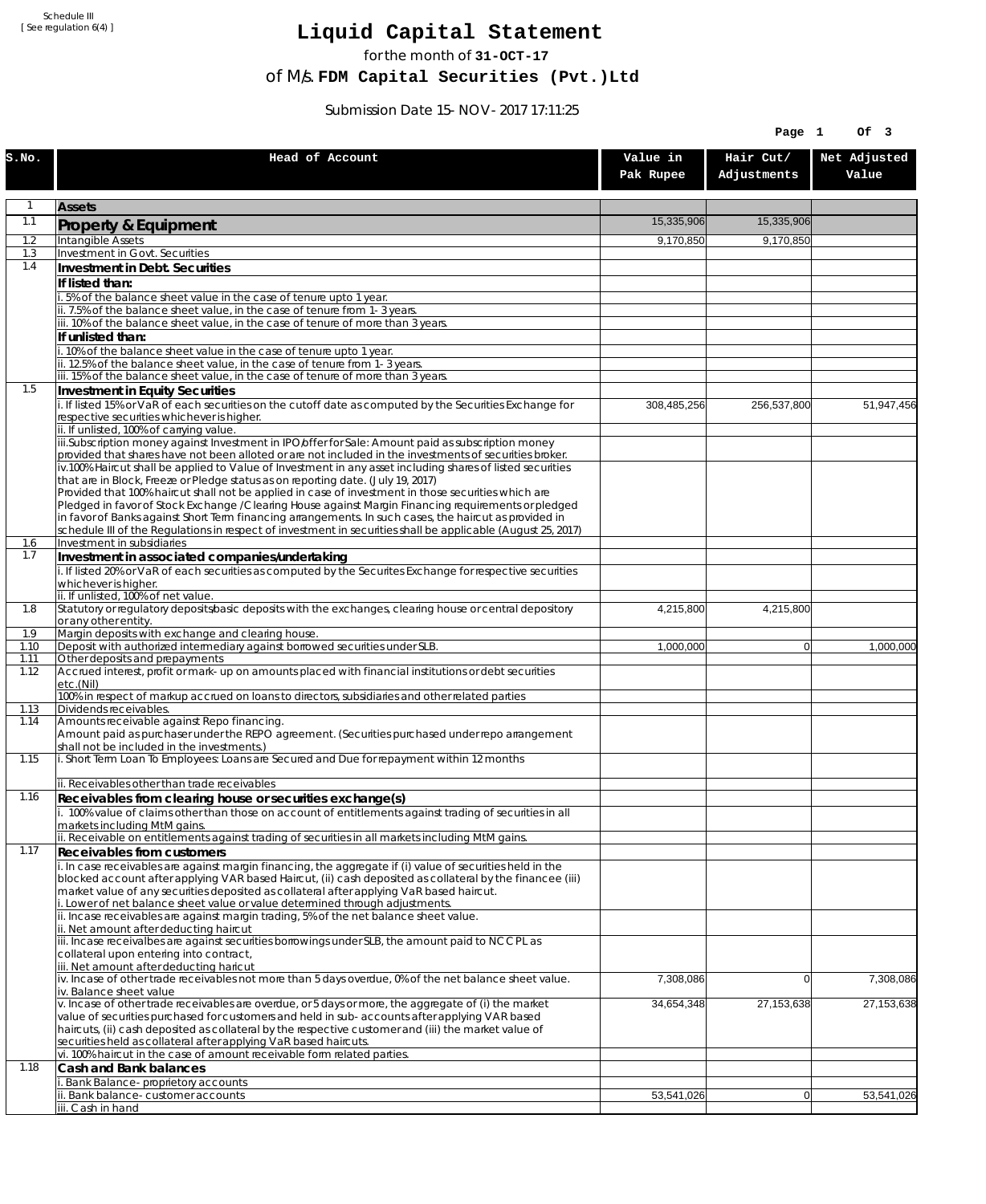Schedule III [ See regulation 6(4) ]

## **Liquid Capital Statement**

for the month of **31-OCT-17**

of M/s. **FDM Capital Securities (Pvt.)Ltd**

Submission Date 15-NOV-2017 17:11:25

|              |                                                                                                                                                                                                                                                                                                                                                                         |                       | Page 1                   | Of 3                  |
|--------------|-------------------------------------------------------------------------------------------------------------------------------------------------------------------------------------------------------------------------------------------------------------------------------------------------------------------------------------------------------------------------|-----------------------|--------------------------|-----------------------|
| S.NO.        | Head of Account                                                                                                                                                                                                                                                                                                                                                         | Value in<br>Pak Rupee | Hair Cut/<br>Adjustments | Net Adjusted<br>Value |
| 1            | <b>Assets</b>                                                                                                                                                                                                                                                                                                                                                           |                       |                          |                       |
| 1.1          | Property & Equipment                                                                                                                                                                                                                                                                                                                                                    | 15,335,906            | 15,335,906               |                       |
| 1.2          | Intangible Assets                                                                                                                                                                                                                                                                                                                                                       | 9,170,850             | 9,170,850                |                       |
| 1.3<br>1.4   | Investment in Govt. Securities<br>Investment in Debt. Securities                                                                                                                                                                                                                                                                                                        |                       |                          |                       |
|              | If listed than:                                                                                                                                                                                                                                                                                                                                                         |                       |                          |                       |
|              | 5% of the balance sheet value in the case of tenure upto 1 year.                                                                                                                                                                                                                                                                                                        |                       |                          |                       |
|              | ii. 7.5% of the balance sheet value, in the case of tenure from 1-3 years.                                                                                                                                                                                                                                                                                              |                       |                          |                       |
|              | iii. 10% of the balance sheet value, in the case of tenure of more than 3 years.<br>If unlisted than:                                                                                                                                                                                                                                                                   |                       |                          |                       |
|              | i. 10% of the balance sheet value in the case of tenure upto 1 year.                                                                                                                                                                                                                                                                                                    |                       |                          |                       |
|              | ii. 12.5% of the balance sheet value, in the case of tenure from 1-3 years.<br>iii. 15% of the balance sheet value, in the case of tenure of more than 3 years.                                                                                                                                                                                                         |                       |                          |                       |
| 1.5          | Investment in Equity Securities                                                                                                                                                                                                                                                                                                                                         |                       |                          |                       |
|              | i. If listed 15% or VaR of each securities on the cutoff date as computed by the Securities Exchange for                                                                                                                                                                                                                                                                | 308,485,256           | 256,537,800              | 51,947,456            |
|              | respective securities whichever is higher.                                                                                                                                                                                                                                                                                                                              |                       |                          |                       |
|              | ii. If unlisted, 100% of carrying value.<br>iii.Subscription money against Investment in IPO/offer for Sale: Amount paid as subscription money<br>provided that shares have not been alloted or are not included in the investments of securities broker.<br>iv.100% Haircut shall be applied to Value of Investment in any asset including shares of listed securities |                       |                          |                       |
|              | that are in Block, Freeze or Pledge status as on reporting date. (July 19, 2017)<br>Provided that 100% haircut shall not be applied in case of investment in those securities which are                                                                                                                                                                                 |                       |                          |                       |
|              | Pledged in favor of Stock Exchange / Clearing House against Margin Financing requirements or pledged<br>in favor of Banks against Short Term financing arrangements. In such cases, the haircut as provided in<br>schedule III of the Regulations in respect of investment in securities shall be applicable (August 25, 2017)                                          |                       |                          |                       |
| 1.6          | Investment in subsidiaries                                                                                                                                                                                                                                                                                                                                              |                       |                          |                       |
| 1.7          | Investment in associated companies/undertaking                                                                                                                                                                                                                                                                                                                          |                       |                          |                       |
|              | i. If listed 20% or VaR of each securities as computed by the Securites Exchange for respective securities<br>whichever is higher.                                                                                                                                                                                                                                      |                       |                          |                       |
|              | ii. If unlisted, 100% of net value.                                                                                                                                                                                                                                                                                                                                     |                       |                          |                       |
| 1.8          | Statutory or regulatory deposits/basic deposits with the exchanges, clearing house or central depository<br>or any other entity.                                                                                                                                                                                                                                        | 4,215,800             | 4,215,800                |                       |
| 1.9          | Margin deposits with exchange and clearing house.                                                                                                                                                                                                                                                                                                                       |                       |                          |                       |
| 1.10<br>1.11 | Deposit with authorized intermediary against borrowed securities under SLB.<br>Other deposits and prepayments                                                                                                                                                                                                                                                           | 1,000,000             | $\overline{0}$           | 1,000,000             |
| 1.12         | Accrued interest, profit or mark-up on amounts placed with financial institutions or debt securities<br>etc.(Nil)                                                                                                                                                                                                                                                       |                       |                          |                       |
| 1.13         | 100% in respect of markup accrued on loans to directors, subsidiaries and other related parties<br>Dividends receivables.                                                                                                                                                                                                                                               |                       |                          |                       |
| 1.14         | Amounts receivable against Repo financing.                                                                                                                                                                                                                                                                                                                              |                       |                          |                       |
|              | Amount paid as purchaser under the REPO agreement. (Securities purchased under repo arrangement<br>shall not be included in the investments.)                                                                                                                                                                                                                           |                       |                          |                       |
| 1.15         | i. Short Term Loan To Employees: Loans are Secured and Due for repayment within 12 months<br>ii. Receivables other than trade receivables                                                                                                                                                                                                                               |                       |                          |                       |
| 1.16         | Receivables from clearing house or securities exchange(s)                                                                                                                                                                                                                                                                                                               |                       |                          |                       |
|              | i. 100% value of claims other than those on account of entitlements against trading of securities in all                                                                                                                                                                                                                                                                |                       |                          |                       |
|              | markets including MtM gains.<br>ii. Receivable on entitlements against trading of securities in all markets including MtM gains.                                                                                                                                                                                                                                        |                       |                          |                       |
| 1.17         | Receivables from customers                                                                                                                                                                                                                                                                                                                                              |                       |                          |                       |
|              | i. In case receivables are against margin financing, the aggregate if (i) value of securities held in the                                                                                                                                                                                                                                                               |                       |                          |                       |
|              | blocked account after applying VAR based Haircut, (ii) cash deposited as collateral by the financee (iii)<br>market value of any securities deposited as collateral after applying VaR based haircut.<br>i. Lower of net balance sheet value or value determined through adjustments.                                                                                   |                       |                          |                       |
|              | ii. Incase receivables are against margin trading, 5% of the net balance sheet value.<br>ii. Net amount after deducting haircut                                                                                                                                                                                                                                         |                       |                          |                       |
|              | iii. Incase receivalbes are against securities borrowings under SLB, the amount paid to NCCPL as                                                                                                                                                                                                                                                                        |                       |                          |                       |
|              | collateral upon entering into contract,<br>iii. Net amount after deducting haricut                                                                                                                                                                                                                                                                                      |                       |                          |                       |
|              | iv. Incase of other trade receivables not more than 5 days overdue, 0% of the net balance sheet value.<br>iv. Balance sheet value                                                                                                                                                                                                                                       | 7,308,086             | $\Omega$                 | 7,308,086             |
|              | v. Incase of other trade receivables are overdue, or 5 days or more, the aggregate of (i) the market<br>value of securities purchased for customers and held in sub-accounts after applying VAR based                                                                                                                                                                   | 34,654,348            | 27,153,638               | 27,153,638            |
|              | haircuts, (ii) cash deposited as collateral by the respective customer and (iii) the market value of<br>securities held as collateral after applying VaR based haircuts.                                                                                                                                                                                                |                       |                          |                       |
|              | vi. 100% haircut in the case of amount receivable form related parties.                                                                                                                                                                                                                                                                                                 |                       |                          |                       |
| 1.18         | Cash and Bank balances<br>i. Bank Balance-proprietory accounts                                                                                                                                                                                                                                                                                                          |                       |                          |                       |
|              | ii. Bank balance-customer accounts                                                                                                                                                                                                                                                                                                                                      | 53,541,026            | 0                        | 53,541,026            |
|              | iii. Cash in hand                                                                                                                                                                                                                                                                                                                                                       |                       |                          |                       |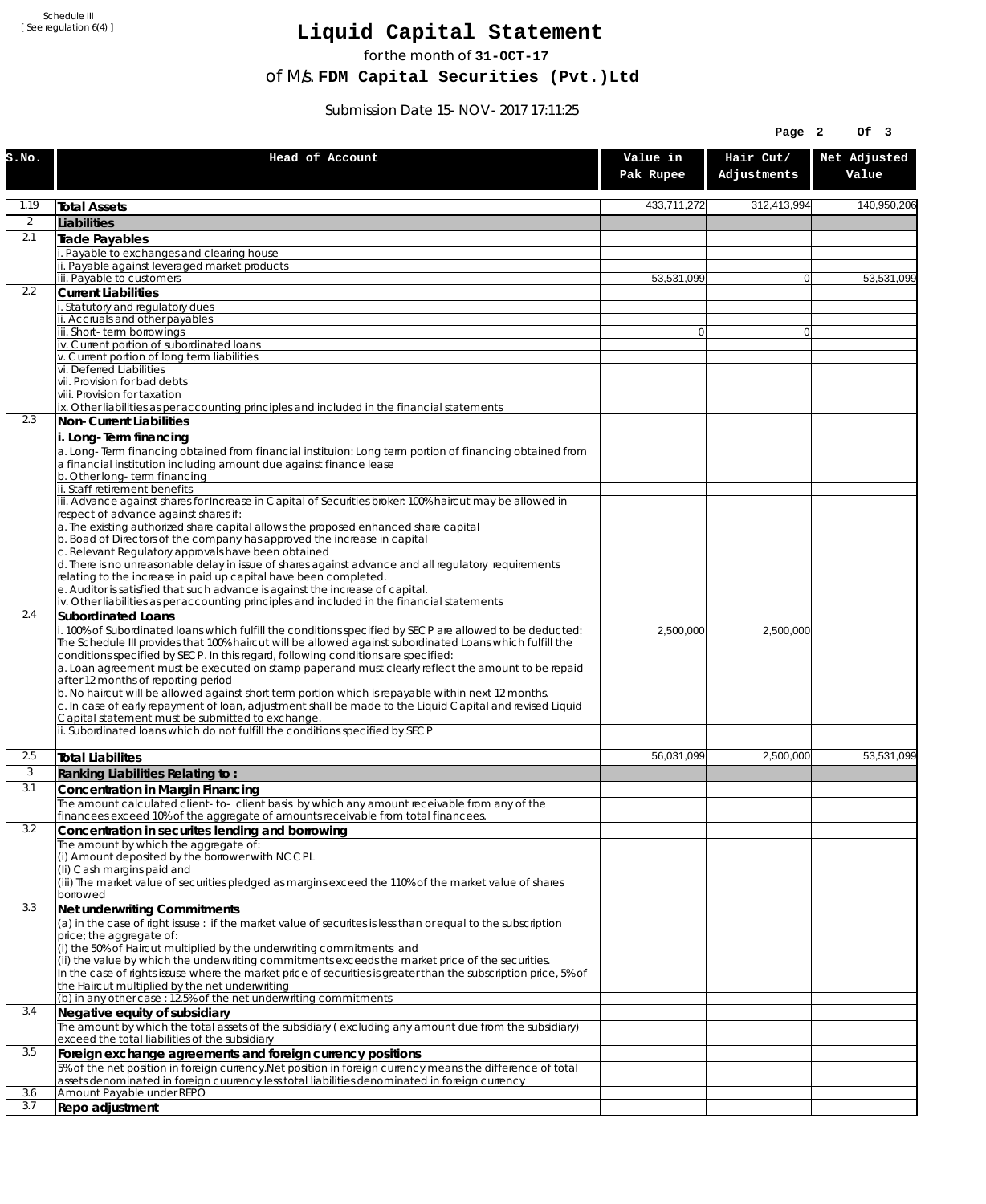Schedule III [ See regulation 6(4) ]

## **Liquid Capital Statement**

for the month of **31-OCT-17**

of M/s. **FDM Capital Securities (Pvt.)Ltd**

Submission Date 15-NOV-2017 17:11:25

|                |                                                                                                                                                                                                                                                                                                                                            |                       | Page 2                   | Of 3                  |
|----------------|--------------------------------------------------------------------------------------------------------------------------------------------------------------------------------------------------------------------------------------------------------------------------------------------------------------------------------------------|-----------------------|--------------------------|-----------------------|
| S.NO.          | Head of Account                                                                                                                                                                                                                                                                                                                            | Value in<br>Pak Rupee | Hair Cut/<br>Adjustments | Net Adjusted<br>Value |
| 1.19           | <b>Total Assets</b>                                                                                                                                                                                                                                                                                                                        | 433,711,272           | 312,413,994              | 140,950,206           |
| $\overline{2}$ | Liabilities                                                                                                                                                                                                                                                                                                                                |                       |                          |                       |
| 2.1            | Trade Payables                                                                                                                                                                                                                                                                                                                             |                       |                          |                       |
|                | Payable to exchanges and clearing house                                                                                                                                                                                                                                                                                                    |                       |                          |                       |
|                | . Payable against leveraged market products<br>iii. Payable to customers                                                                                                                                                                                                                                                                   | 53,531,099            | $\overline{0}$           | 53,531,099            |
| 2.2            | <b>Current Liabilities</b>                                                                                                                                                                                                                                                                                                                 |                       |                          |                       |
|                | Statutory and regulatory dues                                                                                                                                                                                                                                                                                                              |                       |                          |                       |
|                | ii. Accruals and other payables<br>ii. Short-term borrowings                                                                                                                                                                                                                                                                               | $\overline{0}$        | $\mathbf{0}$             |                       |
|                | iv. Current portion of subordinated loans                                                                                                                                                                                                                                                                                                  |                       |                          |                       |
|                | v. Current portion of long term liabilities<br>vi. Deferred Liabilities                                                                                                                                                                                                                                                                    |                       |                          |                       |
|                | vii. Provision for bad debts                                                                                                                                                                                                                                                                                                               |                       |                          |                       |
|                | viii. Provision for taxation                                                                                                                                                                                                                                                                                                               |                       |                          |                       |
| 2.3            | ix. Other liabilities as per accounting principles and included in the financial statements<br>Non-Current Liabilities                                                                                                                                                                                                                     |                       |                          |                       |
|                | i. Long-Term financing                                                                                                                                                                                                                                                                                                                     |                       |                          |                       |
|                | a. Long-Term financing obtained from financial instituion: Long term portion of financing obtained from<br>a financial institution including amount due against finance lease                                                                                                                                                              |                       |                          |                       |
|                | b. Other long-term financing<br>ii. Staff retirement benefits                                                                                                                                                                                                                                                                              |                       |                          |                       |
|                | iii. Advance against shares for Increase in Capital of Securities broker: 100% haircut may be allowed in                                                                                                                                                                                                                                   |                       |                          |                       |
|                | respect of advance against shares if:                                                                                                                                                                                                                                                                                                      |                       |                          |                       |
|                | a. The existing authorized share capital allows the proposed enhanced share capital<br>b. Boad of Directors of the company has approved the increase in capital                                                                                                                                                                            |                       |                          |                       |
|                | c. Relevant Regulatory approvals have been obtained                                                                                                                                                                                                                                                                                        |                       |                          |                       |
|                | d. There is no unreasonable delay in issue of shares against advance and all regulatory requirements<br>relating to the increase in paid up capital have been completed.                                                                                                                                                                   |                       |                          |                       |
|                | e. Auditor is satisfied that such advance is against the increase of capital.                                                                                                                                                                                                                                                              |                       |                          |                       |
| 2.4            | iv. Other liabilities as per accounting principles and included in the financial statements                                                                                                                                                                                                                                                |                       |                          |                       |
|                | Subordinated Loans<br>. 100% of Subordinated loans which fulfill the conditions specified by SECP are allowed to be deducted:                                                                                                                                                                                                              | 2,500,000             | 2,500,000                |                       |
|                | The Schedule III provides that 100% haircut will be allowed against subordinated Loans which fulfill the<br>conditions specified by SECP. In this regard, following conditions are specified:<br>a. Loan agreement must be executed on stamp paper and must clearly reflect the amount to be repaid<br>after 12 months of reporting period |                       |                          |                       |
|                | b. No haircut will be allowed against short term portion which is repayable within next 12 months.<br>c. In case of early repayment of loan, adjustment shall be made to the Liquid Capital and revised Liquid<br>Capital statement must be submitted to exchange.                                                                         |                       |                          |                       |
|                | ii. Subordinated loans which do not fulfill the conditions specified by SECP                                                                                                                                                                                                                                                               |                       |                          |                       |
| 2.5            | <b>Total Liabilites</b>                                                                                                                                                                                                                                                                                                                    | 56,031,099            | 2,500,000                | 53.531.099            |
| 3              | Ranking Liabilities Relating to:                                                                                                                                                                                                                                                                                                           |                       |                          |                       |
| 3.1            | Concentration in Margin Financing                                                                                                                                                                                                                                                                                                          |                       |                          |                       |
|                | The amount calculated client-to- client basis by which any amount receivable from any of the                                                                                                                                                                                                                                               |                       |                          |                       |
| 3.2            | financees exceed 10% of the aggregate of amounts receivable from total financees.<br>Concentration in securites lending and borrowing                                                                                                                                                                                                      |                       |                          |                       |
|                | The amount by which the aggregate of:                                                                                                                                                                                                                                                                                                      |                       |                          |                       |
|                | (i) Amount deposited by the borrower with NCCPL                                                                                                                                                                                                                                                                                            |                       |                          |                       |
|                | (Ii) Cash margins paid and<br>(iii) The market value of securities pledged as margins exceed the 110% of the market value of shares                                                                                                                                                                                                        |                       |                          |                       |
|                | borrowed                                                                                                                                                                                                                                                                                                                                   |                       |                          |                       |
| 3.3            | Net underwriting Commitments                                                                                                                                                                                                                                                                                                               |                       |                          |                       |
|                | (a) in the case of right issuse: if the market value of securites is less than or equal to the subscription<br>price; the aggregate of:                                                                                                                                                                                                    |                       |                          |                       |
|                | (i) the 50% of Haircut multiplied by the underwriting commitments and                                                                                                                                                                                                                                                                      |                       |                          |                       |
|                | (ii) the value by which the underwriting commitments exceeds the market price of the securities.                                                                                                                                                                                                                                           |                       |                          |                       |
|                | In the case of rights issuse where the market price of securities is greater than the subscription price, 5% of<br>the Haircut multiplied by the net underwriting                                                                                                                                                                          |                       |                          |                       |
|                | (b) in any other case: 12.5% of the net underwriting commitments                                                                                                                                                                                                                                                                           |                       |                          |                       |
| 3.4            | Negative equity of subsidiary                                                                                                                                                                                                                                                                                                              |                       |                          |                       |
|                | The amount by which the total assets of the subsidiary (excluding any amount due from the subsidiary)<br>exceed the total liabilities of the subsidiary                                                                                                                                                                                    |                       |                          |                       |
| 3.5            | Foreign exchange agreements and foreign currency positions                                                                                                                                                                                                                                                                                 |                       |                          |                       |
|                | 5% of the net position in foreign currency. Net position in foreign currency means the difference of total<br>assets denominated in foreign cuurency less total liabilities denominated in foreign currency                                                                                                                                |                       |                          |                       |
| 3.6<br>3.7     | Amount Payable under REPO<br>Repo adjustment                                                                                                                                                                                                                                                                                               |                       |                          |                       |
|                |                                                                                                                                                                                                                                                                                                                                            |                       |                          |                       |